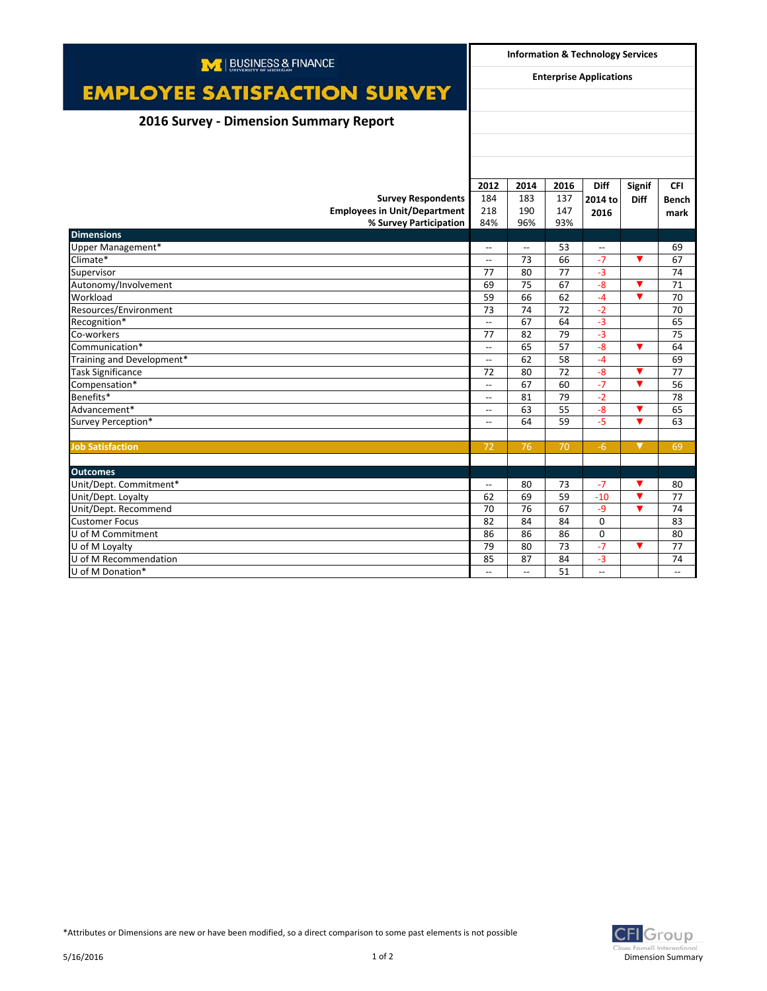| M   BUSINESS & FINANCE                 |                                | <b>Information &amp; Technology Services</b> |      |                          |                         |                          |
|----------------------------------------|--------------------------------|----------------------------------------------|------|--------------------------|-------------------------|--------------------------|
|                                        | <b>Enterprise Applications</b> |                                              |      |                          |                         |                          |
| <b>EMPLOYEE SATISFACTION SURVEY</b>    |                                |                                              |      |                          |                         |                          |
| 2016 Survey - Dimension Summary Report |                                |                                              |      |                          |                         |                          |
|                                        |                                |                                              |      |                          |                         |                          |
|                                        |                                |                                              |      |                          |                         |                          |
|                                        | 2012                           | 2014                                         | 2016 | <b>Diff</b>              | <b>Signif</b>           | <b>CFI</b>               |
| <b>Survey Respondents</b>              | 184                            | 183                                          | 137  | 2014 to                  | <b>Diff</b>             | <b>Bench</b>             |
| <b>Employees in Unit/Department</b>    | 218                            | 190                                          | 147  | 2016                     |                         | mark                     |
| % Survey Participation                 | 84%                            | 96%                                          | 93%  |                          |                         |                          |
| <b>Dimensions</b>                      |                                |                                              |      |                          |                         |                          |
| Upper Management*                      | $\overline{\phantom{a}}$       | $\overline{\phantom{a}}$                     | 53   | $\overline{\phantom{a}}$ |                         | 69                       |
| Climate*                               | $\overline{\phantom{a}}$       | 73                                           | 66   | $-7$                     | $\blacktriangledown$    | 67                       |
| Supervisor                             | 77                             | 80                                           | 77   | $-3$                     |                         | 74                       |
| Autonomy/Involvement                   | 69                             | 75                                           | 67   | $-8$                     | ▼                       | 71                       |
| Workload                               | 59                             | 66                                           | 62   | $-4$                     | $\overline{\mathbf{v}}$ | 70                       |
| Resources/Environment                  | 73                             | 74                                           | 72   | $-2$                     |                         | 70                       |
| Recognition*                           | $\overline{\phantom{a}}$       | 67                                           | 64   | $-3$                     |                         | 65                       |
| Co-workers                             | 77                             | 82                                           | 79   | $-3$                     |                         | 75                       |
| Communication*                         | $\overline{\phantom{a}}$       | 65                                           | 57   | $-8$                     | $\blacktriangledown$    | 64                       |
| Training and Development*              | $\overline{\phantom{a}}$       | 62                                           | 58   | $-4$                     |                         | 69                       |
| <b>Task Significance</b>               | 72                             | 80                                           | 72   | $-8$                     | ▼                       | 77                       |
| Compensation*                          | $\overline{\phantom{a}}$       | 67                                           | 60   | $-7$                     | $\blacktriangledown$    | 56                       |
| Benefits*                              | $\hspace{0.05cm} \ldots$       | 81                                           | 79   | $-2$                     |                         | 78                       |
| Advancement*                           | $\overline{\phantom{a}}$       | 63                                           | 55   | $-8$                     | ▼                       | 65                       |
| Survey Perception*                     | $\overline{a}$                 | 64                                           | 59   | $-5$                     | $\overline{\mathbf{v}}$ | 63                       |
|                                        |                                |                                              |      |                          |                         |                          |
| <b>Job Satisfaction</b>                | 72                             | 76                                           | 70   | $-6$                     | $\blacktriangledown$    | 69                       |
|                                        |                                |                                              |      |                          |                         |                          |
| <b>Outcomes</b>                        |                                |                                              |      |                          |                         |                          |
| Unit/Dept. Commitment*                 | $\hspace{0.05cm} \ldots$       | 80                                           | 73   | $-7$                     | ▼                       | 80                       |
| Unit/Dept. Loyalty                     | 62                             | 69                                           | 59   | $-10$                    | ▼                       | 77                       |
| Unit/Dept. Recommend                   | 70                             | 76                                           | 67   | $-9$                     | $\overline{\mathbf{v}}$ | 74                       |
| <b>Customer Focus</b>                  | 82                             | 84                                           | 84   | $\mathbf 0$              |                         | 83                       |
| U of M Commitment                      | 86                             | 86                                           | 86   | $\mathbf 0$              |                         | 80                       |
| U of M Lovalty                         | 79                             | 80                                           | 73   | $-7$                     | $\blacktriangledown$    | 77                       |
| U of M Recommendation                  | 85                             | 87                                           | 84   | $-3$                     |                         | 74                       |
| U of M Donation*                       | $\overline{\phantom{a}}$       | $\overline{\phantom{a}}$                     | 51   | $\overline{\phantom{a}}$ |                         | $\overline{\phantom{a}}$ |